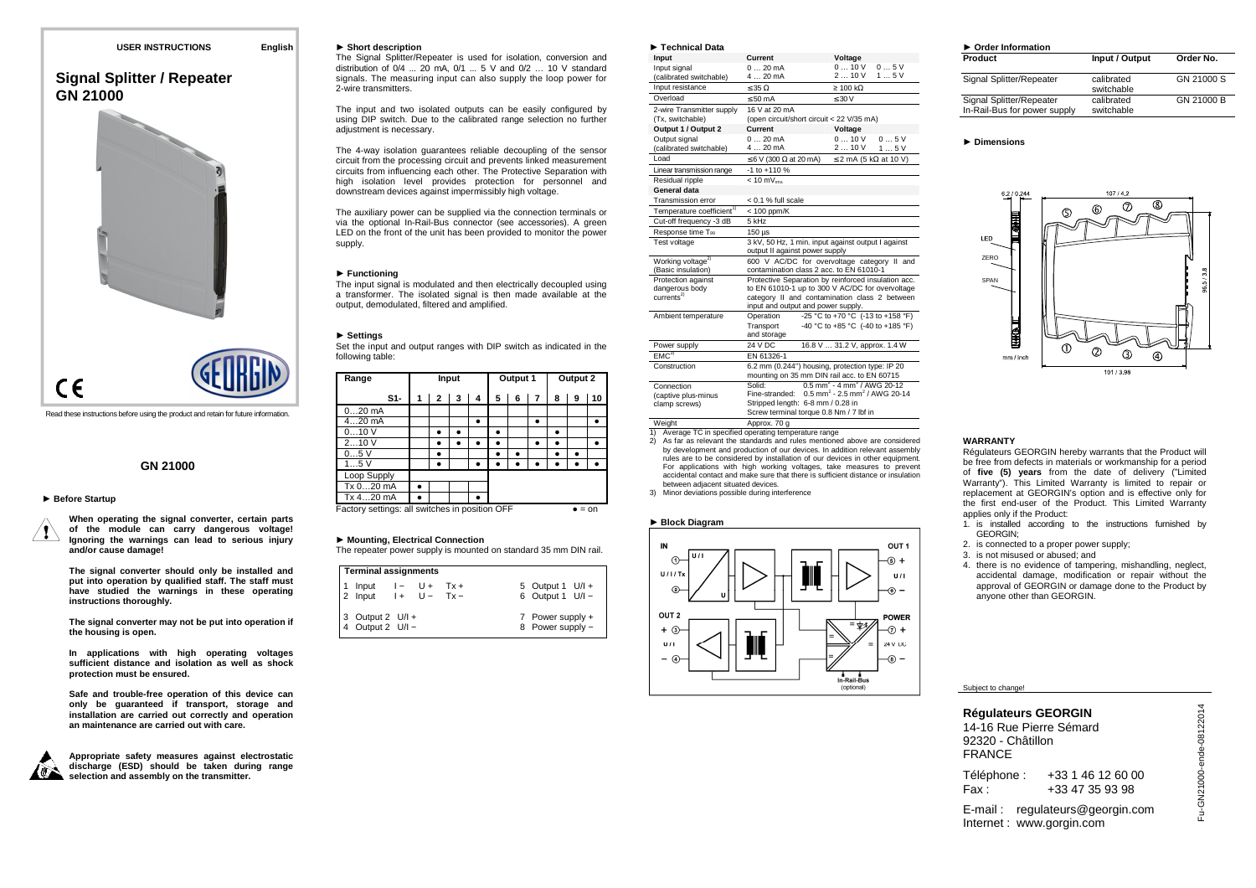# **Signal Splitter / Repeater GN 21000**



Read these instructions before using the product and retain for future information.

## **GN 21000**

#### ► **Before Startup**

**When operating the signal converter, certain parts of the module can carry dangerous voltage! Ignoring the warnings can lead to serious injury and/or cause damage!** 

**The signal converter should only be installed and put into operation by qualified staff. The staff must have studied the warnings in these operating instructions thoroughly.** 

**The signal converter may not be put into operation if the housing is open.** 

**In applications with high operating voltages sufficient distance and isolation as well as shock protection must be ensured.** 

**Safe and trouble-free operation of this device can only be guaranteed if transport, storage and installation are carried out correctly and operation an maintenance are carried out with care.** 



**Appropriate safety measures against electrostatic discharge (ESD) should be taken during range selection and assembly on the transmitter.** 

#### ► **Short description**

 The Signal Splitter/Repeater is used for isolation, conversion and distribution of 0/4 ... 20 mA, 0/1 ... 5 V and 0/2 … 10 V standard signals. The measuring input can also supply the loop power for 2-wire transmitters.

The input and two isolated outputs can be easily configured by using DIP switch. Due to the calibrated range selection no further adjustment is necessary.

The 4-way isolation guarantees reliable decoupling of the sensor circuit from the processing circuit and prevents linked measurement circuits from influencing each other. The Protective Separation with high isolation level provides protection for personnel and downstream devices against impermissibly high voltage.

The auxiliary power can be supplied via the connection terminals or via the optional In-Rail-Bus connector (see accessories). A green LED on the front of the unit has been provided to monitor the power supply.

#### ► **Functioning**

 The input signal is modulated and then electrically decoupled using a transformer. The isolated signal is then made available at the output, demodulated, filtered and amplified.

#### ► **Settings**

 Set the input and output ranges with DIP switch as indicated in the following table:

| Range                                                    |   |   | Input |   | Output 1 |   | Output 2  |   |   |    |
|----------------------------------------------------------|---|---|-------|---|----------|---|-----------|---|---|----|
| S1-                                                      | 1 | 2 | 3     | 4 | 5        | 6 | 7         | 8 | 9 | 10 |
| $020$ mA                                                 |   |   |       |   |          |   |           |   |   |    |
| $420$ mA                                                 |   |   |       | ٠ |          |   | $\bullet$ |   |   | ٠  |
| 010V                                                     |   | ٠ |       |   | ٠        |   |           |   |   |    |
| 210V                                                     |   |   |       |   | ٠        |   | $\bullet$ |   |   | ٠  |
| 05V                                                      |   |   |       |   | ٠        |   |           |   |   |    |
| 15V                                                      |   |   |       |   |          |   |           |   |   |    |
| Loop Supply                                              |   |   |       |   |          |   |           |   |   |    |
| Tx 020 mA                                                |   |   |       |   |          |   |           |   |   |    |
| Tx 420 mA                                                |   |   |       |   |          |   |           |   |   |    |
| Factory settings: all switches in position OFF<br>$=$ on |   |   |       |   |          |   |           |   |   |    |

#### ► **Mounting, Electrical Connection**

The repeater power supply is mounted on standard 35 mm DIN rail.

| <b>Terminal assignments</b>                      |  |  |  |  |                                        |  |  |
|--------------------------------------------------|--|--|--|--|----------------------------------------|--|--|
| 1 Input $I - U + Tx +$<br>2 Input $I + U - Tx -$ |  |  |  |  | 5 Output 1 U/I +<br>6 Output 1 $U/I -$ |  |  |
| 3 Output 2 U/I +<br>4 Output 2 U/I -             |  |  |  |  | 7 Power supply +<br>8 Power supply -   |  |  |

| Technical Data                                                |                                                                                         |                                                                                                                                                         |  |  |  |
|---------------------------------------------------------------|-----------------------------------------------------------------------------------------|---------------------------------------------------------------------------------------------------------------------------------------------------------|--|--|--|
| Input                                                         | Current                                                                                 | Voltage                                                                                                                                                 |  |  |  |
| Input signal<br>(calibrated switchable)                       | $020$ mA<br>$420 \text{ mA}$                                                            | 010V<br>05V<br>210V<br>15V                                                                                                                              |  |  |  |
| Input resistance                                              | $\leq 35 \Omega$                                                                        | $\geq 100 \text{ k}\Omega$                                                                                                                              |  |  |  |
| Overload                                                      | $\leq 50$ mA                                                                            | $\leq 30$ V                                                                                                                                             |  |  |  |
| 2-wire Transmitter supply<br>(Tx, switchable)                 | 16 V at 20 mA<br>(open circuit/short circuit < 22 V/35 mA)                              |                                                                                                                                                         |  |  |  |
| Output 1 / Output 2                                           | Current                                                                                 | Voltage                                                                                                                                                 |  |  |  |
| Output signal<br>(calibrated switchable)                      | 020mA<br>$420$ mA                                                                       | 010V<br>05V<br>210V<br>15V                                                                                                                              |  |  |  |
| Load                                                          | $\leq 6$ V (300 $\Omega$ at 20 mA)                                                      | $\leq$ 2 mA (5 kΩ at 10 V)                                                                                                                              |  |  |  |
| Linear transmission range                                     | $-1$ to $+110%$                                                                         |                                                                                                                                                         |  |  |  |
| Residual ripple                                               | $< 10$ mV $_{\text{rms}}$                                                               |                                                                                                                                                         |  |  |  |
| General data                                                  |                                                                                         |                                                                                                                                                         |  |  |  |
| <b>Transmission error</b>                                     | < 0.1 % full scale                                                                      |                                                                                                                                                         |  |  |  |
| Temperature coefficient <sup>1)</sup>                         | $< 100$ ppm/K                                                                           |                                                                                                                                                         |  |  |  |
| Cut-off frequency -3 dB                                       | 5 kHz                                                                                   |                                                                                                                                                         |  |  |  |
| Response time T <sub>99</sub>                                 | $150$ $\mu$ s                                                                           |                                                                                                                                                         |  |  |  |
| Test voltage                                                  | 3 kV, 50 Hz, 1 min. input against output I against<br>output II against power supply    |                                                                                                                                                         |  |  |  |
| Working voltage <sup>2)</sup><br>(Basic insulation)           | 600 V AC/DC for overvoltage category II and<br>contamination class 2 acc. to EN 61010-1 |                                                                                                                                                         |  |  |  |
| Protection against<br>dangerous body<br>currents <sup>2</sup> | input and output and power supply.                                                      | Protective Separation by reinforced insulation acc.<br>to EN 61010-1 up to 300 V AC/DC for overvoltage<br>category II and contamination class 2 between |  |  |  |
| Ambient temperature                                           | Operation<br>Transport<br>and storage                                                   | -25 °C to +70 °C (-13 to +158 °F)<br>-40 °C to +85 °C (-40 to +185 °F)                                                                                  |  |  |  |
| Power supply                                                  | 24 V DC                                                                                 | 16.8 V  31.2 V, approx. 1.4 W                                                                                                                           |  |  |  |
| EMC <sup>3</sup>                                              | EN 61326-1                                                                              |                                                                                                                                                         |  |  |  |
| Construction                                                  |                                                                                         | 6.2 mm (0.244") housing, protection type: IP 20<br>mounting on 35 mm DIN rail acc, to EN 60715                                                          |  |  |  |
| Connection<br>(captive plus-minus)<br>clamp screws)           | Solid:<br>Stripped length: 6-8 mm / 0.28 in<br>Screw terminal torque 0.8 Nm / 7 lbf in  | $0.5$ mm <sup>2</sup> - 4 mm <sup>2</sup> / AWG 20-12<br>Fine-stranded: $0.5$ mm <sup>2</sup> - 2.5 mm <sup>2</sup> / AWG 20-14                         |  |  |  |
| Weight                                                        | Approx. 70 g                                                                            |                                                                                                                                                         |  |  |  |

Weight Approx. 70 g 1) Average TC in specified operating temperature range

- 2) As far as relevant the standards and rules mentioned above are considered by development and production of our devices. In addition relevant assembly rules are to be considered by installation of our devices in other equipment. For applications with high working voltages, take measures to prevent accidental contact and make sure that there is sufficient distance or insulation between adjacent situated devices.
- 3) Minor deviations possible during interference

#### ► **Block Diagram**



| Product                                                  | Input / Output           | Order |
|----------------------------------------------------------|--------------------------|-------|
| Signal Splitter/Repeater                                 | calibrated<br>switchable | GN 21 |
| Signal Splitter/Repeater<br>In-Rail-Bus for power supply | calibrated<br>switchable | GN 21 |

**Order No.** 

GN 21000 S

GN 21000 B

#### ► **Dimensions**



#### **WARRANTY**

 Régulateurs GEORGIN hereby warrants that the Product will be free from defects in materials or workmanship for a period of **five (5) years** from the date of delivery ("Limited Warranty"). This Limited Warranty is limited to repair or replacement at GEORGIN's option and is effective only for the first end-user of the Product. This Limited Warranty applies only if the Product:

- 1. is installed according to the instructions furnished by GEORGIN;
- 2. is connected to a proper power supply;
- 3. is not misused or abused; and
- 4. there is no evidence of tampering, mishandling, neglect, accidental damage, modification or repair without the approval of GEORGIN or damage done to the Product by anyone other than GEORGIN.

Subject to change!

**Régulateurs GEORGIN**  14-16 Rue Pierre Sémard 92320 - Châtillon FRANCE Téléphone : +33 1 46 12 60 00<br>Fax : +33 47 35 93 98 +33 47 35 93 98

E-mail : regulateurs@georgin.com Internet : www.gorgin.com